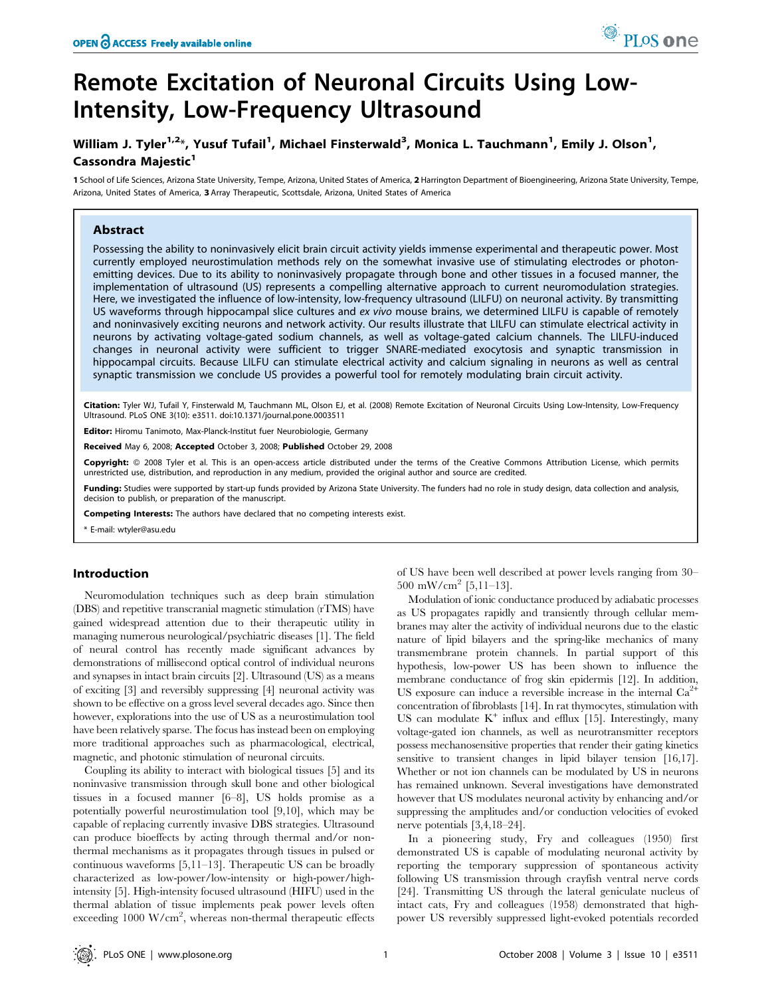# William J. Tyler $^{1,2_\ast}$ , Yusuf Tufail $^1$ , Michael Finsterwald $^3$ , Monica L. Tauchmann $^1$ , Emily J. Olson $^1$ , Cassondra Maiestic<sup>1</sup>

1 School of Life Sciences, Arizona State University, Tempe, Arizona, United States of America, 2 Harrington Department of Bioengineering, Arizona State University, Tempe, Arizona, United States of America, 3 Array Therapeutic, Scottsdale, Arizona, United States of America

# Abstract

Possessing the ability to noninvasively elicit brain circuit activity yields immense experimental and therapeutic power. Most currently employed neurostimulation methods rely on the somewhat invasive use of stimulating electrodes or photonemitting devices. Due to its ability to noninvasively propagate through bone and other tissues in a focused manner, the implementation of ultrasound (US) represents a compelling alternative approach to current neuromodulation strategies. Here, we investigated the influence of low-intensity, low-frequency ultrasound (LILFU) on neuronal activity. By transmitting US waveforms through hippocampal slice cultures and ex vivo mouse brains, we determined LILFU is capable of remotely and noninvasively exciting neurons and network activity. Our results illustrate that LILFU can stimulate electrical activity in neurons by activating voltage-gated sodium channels, as well as voltage-gated calcium channels. The LILFU-induced changes in neuronal activity were sufficient to trigger SNARE-mediated exocytosis and synaptic transmission in hippocampal circuits. Because LILFU can stimulate electrical activity and calcium signaling in neurons as well as central synaptic transmission we conclude US provides a powerful tool for remotely modulating brain circuit activity.

Citation: Tyler WJ, Tufail Y, Finsterwald M, Tauchmann ML, Olson EJ, et al. (2008) Remote Excitation of Neuronal Circuits Using Low-Intensity, Low-Frequency Ultrasound. PLoS ONE 3(10): e3511. doi:10.1371/journal.pone.0003511

Editor: Hiromu Tanimoto, Max-Planck-Institut fuer Neurobiologie, Germany

Received May 6, 2008; Accepted October 3, 2008; Published October 29, 2008

Copyright: © 2008 Tyler et al. This is an open-access article distributed under the terms of the Creative Commons Attribution License, which permits unrestricted use, distribution, and reproduction in any medium, provided the original author and source are credited.

Funding: Studies were supported by start-up funds provided by Arizona State University. The funders had no role in study design, data collection and analysis, decision to publish, or preparation of the manuscript.

Competing Interests: The authors have declared that no competing interests exist.

\* E-mail: wtyler@asu.edu

#### Introduction

Neuromodulation techniques such as deep brain stimulation (DBS) and repetitive transcranial magnetic stimulation (rTMS) have gained widespread attention due to their therapeutic utility in managing numerous neurological/psychiatric diseases [1]. The field of neural control has recently made significant advances by demonstrations of millisecond optical control of individual neurons and synapses in intact brain circuits [2]. Ultrasound (US) as a means of exciting [3] and reversibly suppressing [4] neuronal activity was shown to be effective on a gross level several decades ago. Since then however, explorations into the use of US as a neurostimulation tool have been relatively sparse. The focus has instead been on employing more traditional approaches such as pharmacological, electrical, magnetic, and photonic stimulation of neuronal circuits.

Coupling its ability to interact with biological tissues [5] and its noninvasive transmission through skull bone and other biological tissues in a focused manner [6–8], US holds promise as a potentially powerful neurostimulation tool [9,10], which may be capable of replacing currently invasive DBS strategies. Ultrasound can produce bioeffects by acting through thermal and/or nonthermal mechanisms as it propagates through tissues in pulsed or continuous waveforms [5,11–13]. Therapeutic US can be broadly characterized as low-power/low-intensity or high-power/highintensity [5]. High-intensity focused ultrasound (HIFU) used in the thermal ablation of tissue implements peak power levels often exceeding 1000 W/cm<sup>2</sup>, whereas non-thermal therapeutic effects

of US have been well described at power levels ranging from 30–  $500 \text{ mW/cm}^2$  [5,11–13].

PLoS one

Modulation of ionic conductance produced by adiabatic processes as US propagates rapidly and transiently through cellular membranes may alter the activity of individual neurons due to the elastic nature of lipid bilayers and the spring-like mechanics of many transmembrane protein channels. In partial support of this hypothesis, low-power US has been shown to influence the membrane conductance of frog skin epidermis [12]. In addition, US exposure can induce a reversible increase in the internal  $Ca<sup>2+</sup>$ concentration of fibroblasts [14]. In rat thymocytes, stimulation with US can modulate  $K^+$  influx and efflux [15]. Interestingly, many voltage-gated ion channels, as well as neurotransmitter receptors possess mechanosensitive properties that render their gating kinetics sensitive to transient changes in lipid bilayer tension [16,17]. Whether or not ion channels can be modulated by US in neurons has remained unknown. Several investigations have demonstrated however that US modulates neuronal activity by enhancing and/or suppressing the amplitudes and/or conduction velocities of evoked nerve potentials [3,4,18–24].

In a pioneering study, Fry and colleagues (1950) first demonstrated US is capable of modulating neuronal activity by reporting the temporary suppression of spontaneous activity following US transmission through crayfish ventral nerve cords [24]. Transmitting US through the lateral geniculate nucleus of intact cats, Fry and colleagues (1958) demonstrated that highpower US reversibly suppressed light-evoked potentials recorded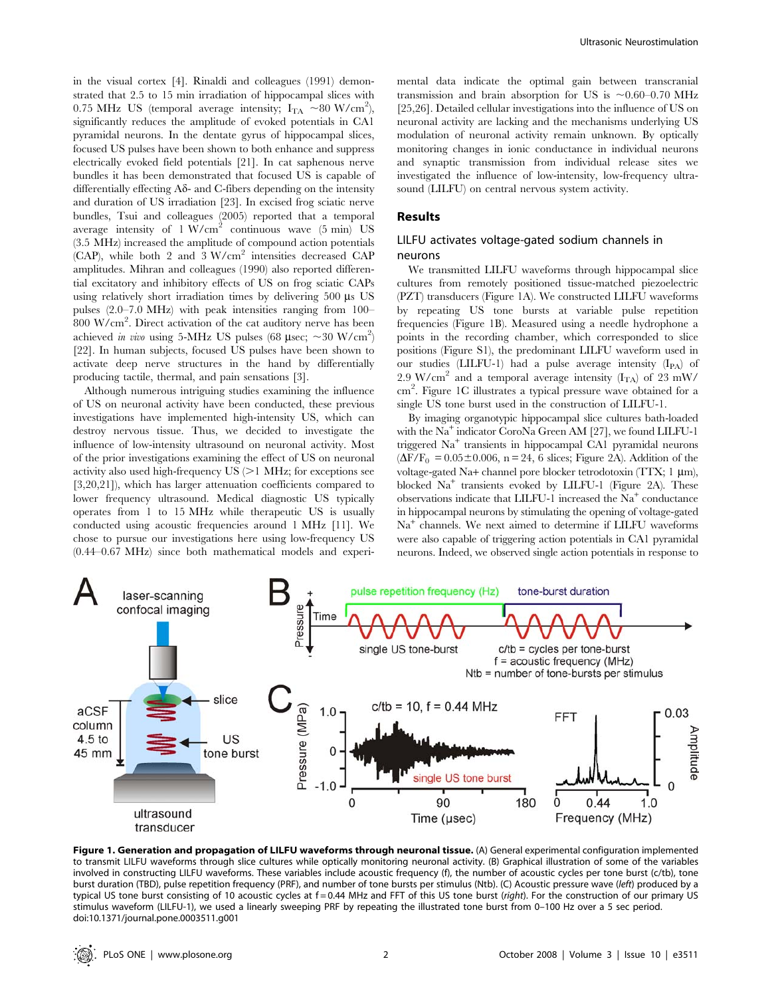in the visual cortex [4]. Rinaldi and colleagues (1991) demonstrated that 2.5 to 15 min irradiation of hippocampal slices with 0.75 MHz US (temporal average intensity;  $I_{TA} \sim 80 \text{ W/cm}^2$ ), significantly reduces the amplitude of evoked potentials in CA1 pyramidal neurons. In the dentate gyrus of hippocampal slices, focused US pulses have been shown to both enhance and suppress electrically evoked field potentials [21]. In cat saphenous nerve bundles it has been demonstrated that focused US is capable of differentially effecting  $A\delta$ - and C-fibers depending on the intensity and duration of US irradiation [23]. In excised frog sciatic nerve bundles, Tsui and colleagues (2005) reported that a temporal average intensity of  $1 \text{ W/cm}^2$  continuous wave (5 min) US (3.5 MHz) increased the amplitude of compound action potentials (CAP), while both 2 and 3 W/cm<sup>2</sup> intensities decreased CAP amplitudes. Mihran and colleagues (1990) also reported differential excitatory and inhibitory effects of US on frog sciatic CAPs using relatively short irradiation times by delivering  $500 \mu s$  US pulses (2.0–7.0 MHz) with peak intensities ranging from 100– 800 W/cm<sup>2</sup> . Direct activation of the cat auditory nerve has been achieved in vivo using 5-MHz US pulses (68  $\mu$ sec; ~30 W/cm<sup>2</sup>) [22]. In human subjects, focused US pulses have been shown to activate deep nerve structures in the hand by differentially producing tactile, thermal, and pain sensations [3].

Although numerous intriguing studies examining the influence of US on neuronal activity have been conducted, these previous investigations have implemented high-intensity US, which can destroy nervous tissue. Thus, we decided to investigate the influence of low-intensity ultrasound on neuronal activity. Most of the prior investigations examining the effect of US on neuronal activity also used high-frequency  $US \geq 1$  MHz; for exceptions see [3,20,21]), which has larger attenuation coefficients compared to lower frequency ultrasound. Medical diagnostic US typically operates from 1 to 15 MHz while therapeutic US is usually conducted using acoustic frequencies around 1 MHz [11]. We chose to pursue our investigations here using low-frequency US (0.44–0.67 MHz) since both mathematical models and experimental data indicate the optimal gain between transcranial transmission and brain absorption for US is  $\sim 0.60-0.70$  MHz [25,26]. Detailed cellular investigations into the influence of US on neuronal activity are lacking and the mechanisms underlying US modulation of neuronal activity remain unknown. By optically monitoring changes in ionic conductance in individual neurons and synaptic transmission from individual release sites we investigated the influence of low-intensity, low-frequency ultrasound (LILFU) on central nervous system activity.

#### Results

# LILFU activates voltage-gated sodium channels in neurons

We transmitted LILFU waveforms through hippocampal slice cultures from remotely positioned tissue-matched piezoelectric (PZT) transducers (Figure 1A). We constructed LILFU waveforms by repeating US tone bursts at variable pulse repetition frequencies (Figure 1B). Measured using a needle hydrophone a points in the recording chamber, which corresponded to slice positions (Figure S1), the predominant LILFU waveform used in our studies (LILFU-1) had a pulse average intensity (IPA) of 2.9 W/cm<sup>2</sup> and a temporal average intensity ( $I_{TA}$ ) of 23 mW/ cm<sup>2</sup> . Figure 1C illustrates a typical pressure wave obtained for a single US tone burst used in the construction of LILFU-1.

By imaging organotypic hippocampal slice cultures bath-loaded with the  $Na<sup>+</sup>$  indicator CoroNa Green AM [27], we found LILFU-1 triggered Na<sup>+</sup> transients in hippocampal CA1 pyramidal neurons  $(\Delta F/F_0 = 0.05 \pm 0.006, n = 24, 6$  slices; Figure 2A). Addition of the voltage-gated Na+ channel pore blocker tetrodotoxin (TTX;  $1 \mu m$ ), blocked Na<sup>+</sup> transients evoked by LILFU-1 (Figure 2A). These observations indicate that LILFU-1 increased the  $Na<sup>+</sup>$  conductance in hippocampal neurons by stimulating the opening of voltage-gated Na<sup>+</sup> channels. We next aimed to determine if LILFU waveforms were also capable of triggering action potentials in CA1 pyramidal neurons. Indeed, we observed single action potentials in response to



Figure 1. Generation and propagation of LILFU waveforms through neuronal tissue. (A) General experimental configuration implemented to transmit LILFU waveforms through slice cultures while optically monitoring neuronal activity. (B) Graphical illustration of some of the variables involved in constructing LILFU waveforms. These variables include acoustic frequency (f), the number of acoustic cycles per tone burst (c/tb), tone burst duration (TBD), pulse repetition frequency (PRF), and number of tone bursts per stimulus (Ntb). (C) Acoustic pressure wave (left) produced by a typical US tone burst consisting of 10 acoustic cycles at f=0.44 MHz and FFT of this US tone burst (right). For the construction of our primary US stimulus waveform (LILFU-1), we used a linearly sweeping PRF by repeating the illustrated tone burst from 0–100 Hz over a 5 sec period. doi:10.1371/journal.pone.0003511.g001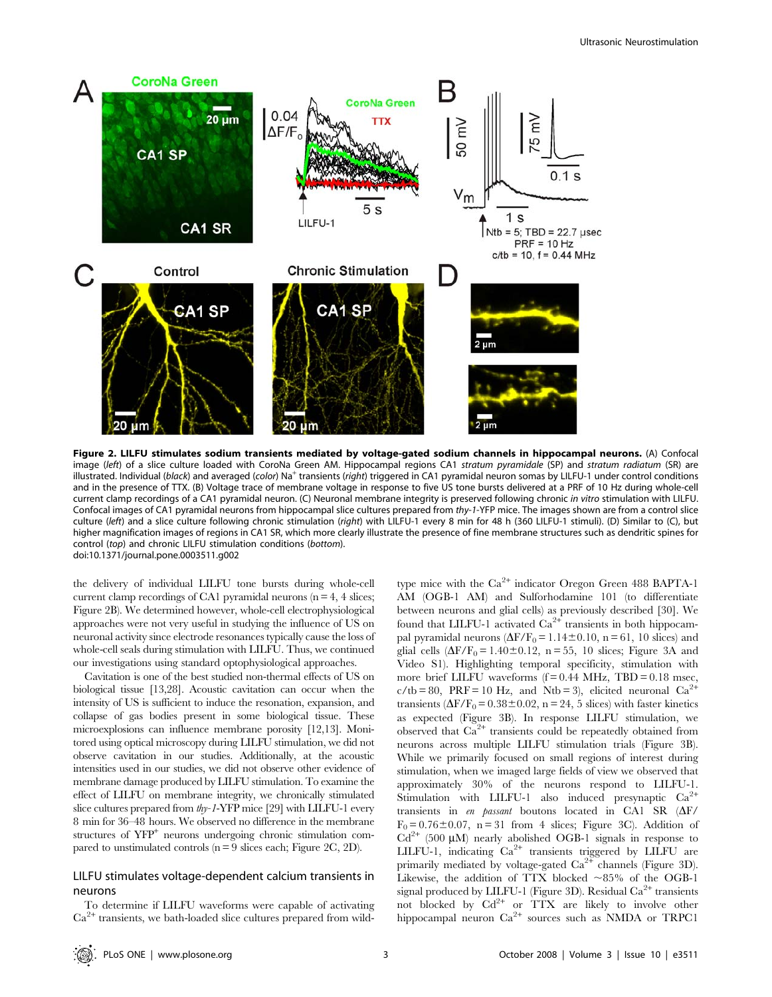

Figure 2. LILFU stimulates sodium transients mediated by voltage-gated sodium channels in hippocampal neurons. (A) Confocal image (left) of a slice culture loaded with CoroNa Green AM. Hippocampal regions CA1 stratum pyramidale (SP) and stratum radiatum (SR) are illustrated. Individual (black) and averaged (color) Na<sup>+</sup> transients (right) triggered in CA1 pyramidal neuron somas by LILFU-1 under control conditions and in the presence of TTX. (B) Voltage trace of membrane voltage in response to five US tone bursts delivered at a PRF of 10 Hz during whole-cell current clamp recordings of a CA1 pyramidal neuron. (C) Neuronal membrane integrity is preserved following chronic in vitro stimulation with LILFU. Confocal images of CA1 pyramidal neurons from hippocampal slice cultures prepared from thy-1-YFP mice. The images shown are from a control slice culture (left) and a slice culture following chronic stimulation (right) with LILFU-1 every 8 min for 48 h (360 LILFU-1 stimuli). (D) Similar to (C), but higher magnification images of regions in CA1 SR, which more clearly illustrate the presence of fine membrane structures such as dendritic spines for control (top) and chronic LILFU stimulation conditions (bottom). doi:10.1371/journal.pone.0003511.g002

the delivery of individual LILFU tone bursts during whole-cell current clamp recordings of CA1 pyramidal neurons ( $n = 4$ , 4 slices; Figure 2B). We determined however, whole-cell electrophysiological approaches were not very useful in studying the influence of US on neuronal activity since electrode resonances typically cause the loss of whole-cell seals during stimulation with LILFU. Thus, we continued our investigations using standard optophysiological approaches.

Cavitation is one of the best studied non-thermal effects of US on biological tissue [13,28]. Acoustic cavitation can occur when the intensity of US is sufficient to induce the resonation, expansion, and collapse of gas bodies present in some biological tissue. These microexplosions can influence membrane porosity [12,13]. Monitored using optical microscopy during LILFU stimulation, we did not observe cavitation in our studies. Additionally, at the acoustic intensities used in our studies, we did not observe other evidence of membrane damage produced by LILFU stimulation. To examine the effect of LILFU on membrane integrity, we chronically stimulated slice cultures prepared from thy-1-YFP mice [29] with LILFU-1 every 8 min for 36–48 hours. We observed no difference in the membrane structures of  $YFP<sup>+</sup>$  neurons undergoing chronic stimulation compared to unstimulated controls  $(n = 9$  slices each; Figure 2C, 2D).

# LILFU stimulates voltage-dependent calcium transients in neurons

To determine if LILFU waveforms were capable of activating  $Ca<sup>2+</sup>$  transients, we bath-loaded slice cultures prepared from wildtype mice with the  $Ca^{2+}$  indicator Oregon Green 488 BAPTA-1 AM (OGB-1 AM) and Sulforhodamine 101 (to differentiate between neurons and glial cells) as previously described [30]. We found that LILFU-1 activated  $Ca^{2+}$  transients in both hippocampal pyramidal neurons  $(\Delta F/F_0 = 1.14 \pm 0.10, n = 61, 10$  slices) and glial cells  $(\Delta F/F_0 = 1.40 \pm 0.12, n = 55, 10$  slices; Figure 3A and Video S1). Highlighting temporal specificity, stimulation with more brief LILFU waveforms  $(f = 0.44 \text{ MHz}, \text{TBD} = 0.18 \text{ msec},$  $c/tb = 80$ , PRF = 10 Hz, and Ntb = 3), elicited neuronal Ca<sup>2+</sup> transients ( $\Delta F/F_0$  = 0.38 ± 0.02, n = 24, 5 slices) with faster kinetics as expected (Figure 3B). In response LILFU stimulation, we observed that  $Ca^{2+}$  transients could be repeatedly obtained from neurons across multiple LILFU stimulation trials (Figure 3B). While we primarily focused on small regions of interest during stimulation, when we imaged large fields of view we observed that approximately 30% of the neurons respond to LILFU-1. Stimulation with LILFU-1 also induced presynaptic  $Ca^{2+}$ transients in en passant boutons located in CA1 SR  $(\Delta F)$  $F_0 = 0.76 \pm 0.07$ , n = 31 from 4 slices; Figure 3C). Addition of  $Cd^{2+}$  (500 µM) nearly abolished OGB-1 signals in response to LILFU-1, indicating  $Ca^{2+}$  transients triggered by LILFU are primarily mediated by voltage-gated  $Ca^{2+}$  channels (Figure 3D). Likewise, the addition of TTX blocked  $\sim 85\%$  of the OGB-1 signal produced by LILFU-1 (Figure 3D). Residual  $Ca^{2+}$  transients not blocked by  $Cd^{2+}$  or  $TTX$  are likely to involve other hippocampal neuron  $Ca^{2+}$  sources such as NMDA or TRPC1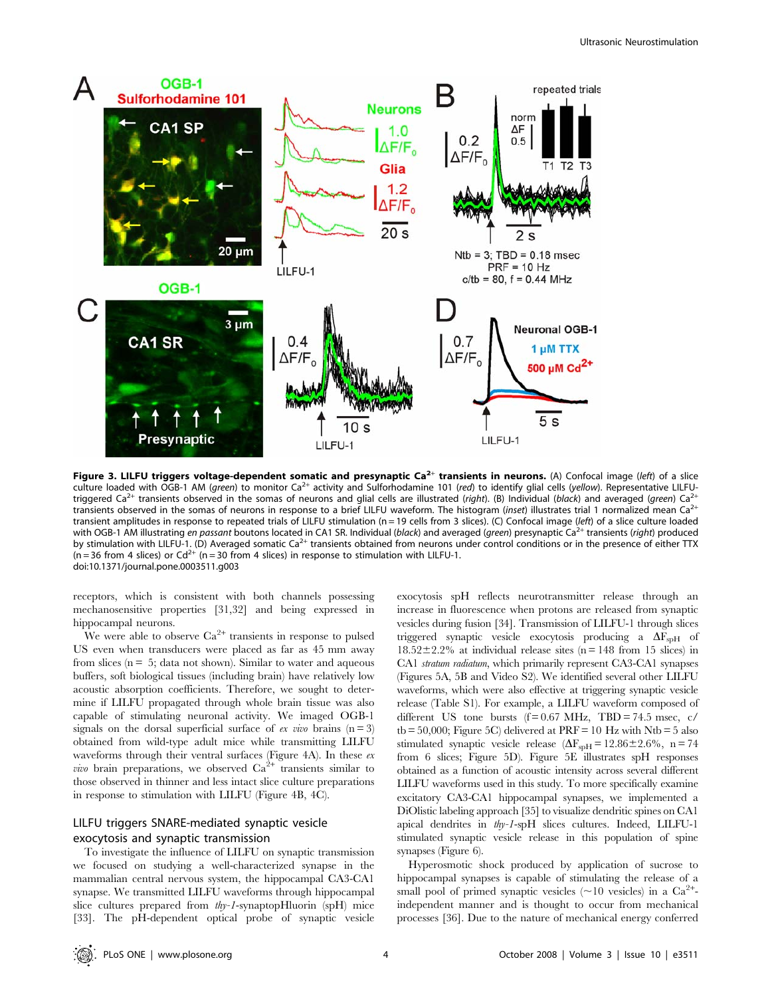

Figure 3. LILFU triggers voltage-dependent somatic and presynaptic Ca<sup>2+</sup> transients in neurons. (A) Confocal image (left) of a slice culture loaded with OGB-1 AM (green) to monitor  $Ca^{2+}$  activity and Sulforhodamine 101 (red) to identify glial cells (yellow). Representative LILFUtriggered Ca<sup>2+</sup> transients observed in the somas of neurons and glial cells are illustrated (right). (B) Individual (black) and averaged (green) Ca<sup>2</sup> transients observed in the somas of neurons in response to a brief LILFU waveform. The histogram (inset) illustrates trial 1 normalized mean Ca<sup>2+</sup> transient amplitudes in response to repeated trials of LILFU stimulation (n = 19 cells from 3 slices). (C) Confocal image (left) of a slice culture loaded with OGB-1 AM illustrating en passant boutons located in CA1 SR. Individual (black) and averaged (green) presynaptic Ca<sup>2+</sup> transients (right) produced by stimulation with LILFU-1. (D) Averaged somatic Ca<sup>2+</sup> transients obtained from neurons under control conditions or in the presence of either TTX  $(n = 36$  from 4 slices) or  $Cd^{2+}$   $(n = 30$  from 4 slices) in response to stimulation with LILFU-1. doi:10.1371/journal.pone.0003511.g003

receptors, which is consistent with both channels possessing mechanosensitive properties [31,32] and being expressed in hippocampal neurons.

We were able to observe  $Ca^{2+}$  transients in response to pulsed US even when transducers were placed as far as 45 mm away from slices ( $n = 5$ ; data not shown). Similar to water and aqueous buffers, soft biological tissues (including brain) have relatively low acoustic absorption coefficients. Therefore, we sought to determine if LILFU propagated through whole brain tissue was also capable of stimulating neuronal activity. We imaged OGB-1 signals on the dorsal superficial surface of ex vivo brains  $(n = 3)$ obtained from wild-type adult mice while transmitting LILFU waveforms through their ventral surfaces (Figure 4A). In these ex *vivo* brain preparations, we observed  $Ca^{2+}$  transients similar to those observed in thinner and less intact slice culture preparations in response to stimulation with LILFU (Figure 4B, 4C).

# LILFU triggers SNARE-mediated synaptic vesicle exocytosis and synaptic transmission

To investigate the influence of LILFU on synaptic transmission we focused on studying a well-characterized synapse in the mammalian central nervous system, the hippocampal CA3-CA1 synapse. We transmitted LILFU waveforms through hippocampal slice cultures prepared from *thy-1*-synaptopHluorin (spH) mice [33]. The pH-dependent optical probe of synaptic vesicle

exocytosis spH reflects neurotransmitter release through an increase in fluorescence when protons are released from synaptic vesicles during fusion [34]. Transmission of LILFU-1 through slices triggered synaptic vesicle exocytosis producing a  $\Delta F_{spfH}$  of  $18.52 \pm 2.2$ % at individual release sites (n = 148 from 15 slices) in CA1 stratum radiatum, which primarily represent CA3-CA1 synapses (Figures 5A, 5B and Video S2). We identified several other LILFU waveforms, which were also effective at triggering synaptic vesicle release (Table S1). For example, a LILFU waveform composed of different US tone bursts  $(f=0.67 \text{ MHz}, \text{TBD} = 74.5 \text{ msec}, \text{ c/}$ tb = 50,000; Figure 5C) delivered at  $PRF = 10$  Hz with Ntb = 5 also stimulated synaptic vesicle release  $(\Delta F_{\rm spf} = 12.86 \pm 2.6\%$ , n = 74 from 6 slices; Figure 5D). Figure 5E illustrates spH responses obtained as a function of acoustic intensity across several different LILFU waveforms used in this study. To more specifically examine excitatory CA3-CA1 hippocampal synapses, we implemented a DiOlistic labeling approach [35] to visualize dendritic spines on CA1 apical dendrites in thy-1-spH slices cultures. Indeed, LILFU-1 stimulated synaptic vesicle release in this population of spine synapses (Figure 6).

Hyperosmotic shock produced by application of sucrose to hippocampal synapses is capable of stimulating the release of a small pool of primed synaptic vesicles ( $\sim$ 10 vesicles) in a Ca<sup>2+</sup>independent manner and is thought to occur from mechanical processes [36]. Due to the nature of mechanical energy conferred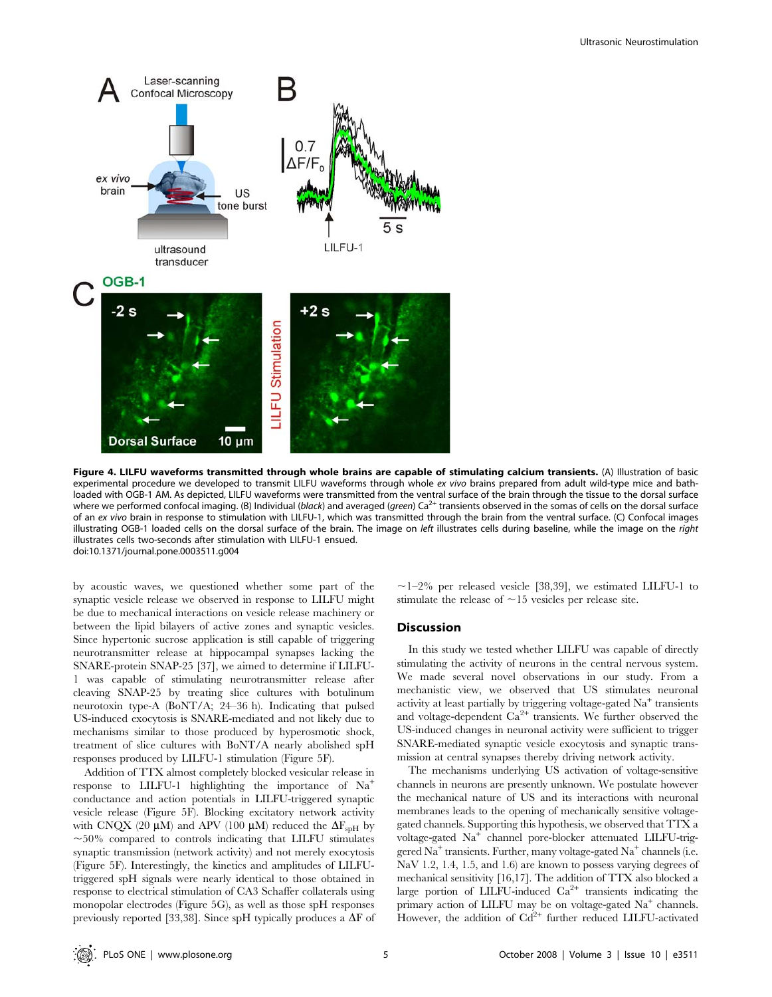

Figure 4. LILFU waveforms transmitted through whole brains are capable of stimulating calcium transients. (A) Illustration of basic experimental procedure we developed to transmit LILFU waveforms through whole ex vivo brains prepared from adult wild-type mice and bathloaded with OGB-1 AM. As depicted, LILFU waveforms were transmitted from the ventral surface of the brain through the tissue to the dorsal surface where we performed confocal imaging. (B) Individual (black) and averaged (green) Ca<sup>2+</sup> transients observed in the somas of cells on the dorsal surface of an ex vivo brain in response to stimulation with LILFU-1, which was transmitted through the brain from the ventral surface. (C) Confocal images illustrating OGB-1 loaded cells on the dorsal surface of the brain. The image on left illustrates cells during baseline, while the image on the right illustrates cells two-seconds after stimulation with LILFU-1 ensued. doi:10.1371/journal.pone.0003511.g004

by acoustic waves, we questioned whether some part of the synaptic vesicle release we observed in response to LILFU might be due to mechanical interactions on vesicle release machinery or between the lipid bilayers of active zones and synaptic vesicles. Since hypertonic sucrose application is still capable of triggering neurotransmitter release at hippocampal synapses lacking the SNARE-protein SNAP-25 [37], we aimed to determine if LILFU-1 was capable of stimulating neurotransmitter release after cleaving SNAP-25 by treating slice cultures with botulinum neurotoxin type-A (BoNT/A; 24–36 h). Indicating that pulsed US-induced exocytosis is SNARE-mediated and not likely due to mechanisms similar to those produced by hyperosmotic shock, treatment of slice cultures with BoNT/A nearly abolished spH responses produced by LILFU-1 stimulation (Figure 5F).

Addition of TTX almost completely blocked vesicular release in response to LILFU-1 highlighting the importance of  $Na<sup>+</sup>$ conductance and action potentials in LILFU-triggered synaptic vesicle release (Figure 5F). Blocking excitatory network activity with CNQX (20  $\mu$ M) and APV (100  $\mu$ M) reduced the  $\Delta F_{spf}$  by  $\sim$ 50% compared to controls indicating that LILFU stimulates synaptic transmission (network activity) and not merely exocytosis (Figure 5F). Interestingly, the kinetics and amplitudes of LILFUtriggered spH signals were nearly identical to those obtained in response to electrical stimulation of CA3 Schaffer collaterals using monopolar electrodes (Figure 5G), as well as those spH responses previously reported [33,38]. Since spH typically produces a  $\Delta F$  of  $\sim$ 1–2% per released vesicle [38,39], we estimated LILFU-1 to stimulate the release of  $\sim$ 15 vesicles per release site.

#### **Discussion**

In this study we tested whether LILFU was capable of directly stimulating the activity of neurons in the central nervous system. We made several novel observations in our study. From a mechanistic view, we observed that US stimulates neuronal activity at least partially by triggering voltage-gated  $Na<sup>+</sup>$  transients and voltage-dependent  $Ca^{2+}$  transients. We further observed the US-induced changes in neuronal activity were sufficient to trigger SNARE-mediated synaptic vesicle exocytosis and synaptic transmission at central synapses thereby driving network activity.

The mechanisms underlying US activation of voltage-sensitive channels in neurons are presently unknown. We postulate however the mechanical nature of US and its interactions with neuronal membranes leads to the opening of mechanically sensitive voltagegated channels. Supporting this hypothesis, we observed that TTX a voltage-gated Na<sup>+</sup> channel pore-blocker attenuated LILFU-triggered Na<sup>+</sup> transients. Further, many voltage-gated Na<sup>+</sup> channels (i.e. NaV 1.2, 1.4, 1.5, and 1.6) are known to possess varying degrees of mechanical sensitivity [16,17]. The addition of TTX also blocked a large portion of LILFU-induced  $Ca^{2+}$  transients indicating the primary action of LILFU may be on voltage-gated  $Na<sup>+</sup>$  channels. However, the addition of  $Cd^{2+}$  further reduced LILFU-activated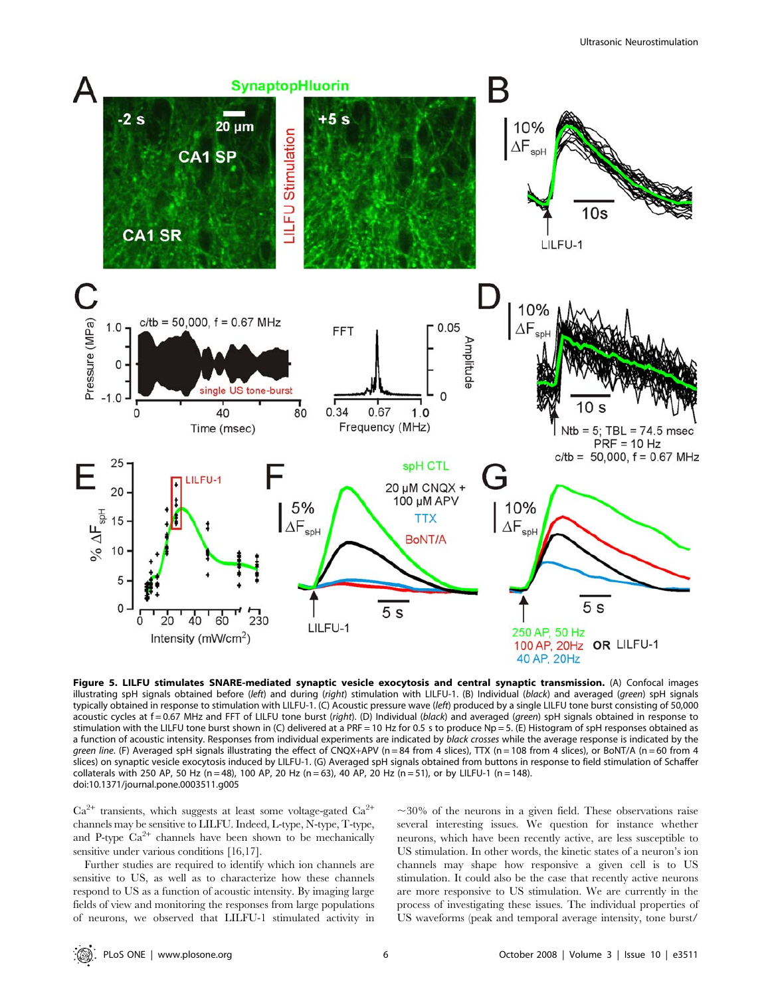

Figure 5. LILFU stimulates SNARE-mediated synaptic vesicle exocytosis and central synaptic transmission. (A) Confocal images illustrating spH signals obtained before (left) and during (right) stimulation with LILFU-1. (B) Individual (black) and averaged (green) spH signals typically obtained in response to stimulation with LILFU-1. (C) Acoustic pressure wave (left) produced by a single LILFU tone burst consisting of 50,000 acoustic cycles at f = 0.67 MHz and FFT of LILFU tone burst (right). (D) Individual (black) and averaged (green) spH signals obtained in response to stimulation with the LILFU tone burst shown in (C) delivered at a PRF = 10 Hz for 0.5 s to produce Np = 5. (E) Histogram of spH responses obtained as a function of acoustic intensity. Responses from individual experiments are indicated by black crosses while the average response is indicated by the green line. (F) Averaged spH signals illustrating the effect of CNQX+APV (n = 84 from 4 slices), TTX (n = 108 from 4 slices), or BoNT/A (n = 60 from 4 slices) on synaptic vesicle exocytosis induced by LILFU-1. (G) Averaged spH signals obtained from buttons in response to field stimulation of Schaffer collaterals with 250 AP, 50 Hz (n = 48), 100 AP, 20 Hz (n = 63), 40 AP, 20 Hz (n = 51), or by LILFU-1 (n = 148). doi:10.1371/journal.pone.0003511.g005

 $Ca^{2+}$  transients, which suggests at least some voltage-gated  $Ca^{2+}$ channels may be sensitive to LILFU. Indeed, L-type, N-type, T-type, and P-type  $Ca^{2+}$  channels have been shown to be mechanically sensitive under various conditions [16,17].

Further studies are required to identify which ion channels are sensitive to US, as well as to characterize how these channels respond to US as a function of acoustic intensity. By imaging large fields of view and monitoring the responses from large populations of neurons, we observed that LILFU-1 stimulated activity in

 $\sim$ 30% of the neurons in a given field. These observations raise several interesting issues. We question for instance whether neurons, which have been recently active, are less susceptible to US stimulation. In other words, the kinetic states of a neuron's ion channels may shape how responsive a given cell is to US stimulation. It could also be the case that recently active neurons are more responsive to US stimulation. We are currently in the process of investigating these issues. The individual properties of US waveforms (peak and temporal average intensity, tone burst/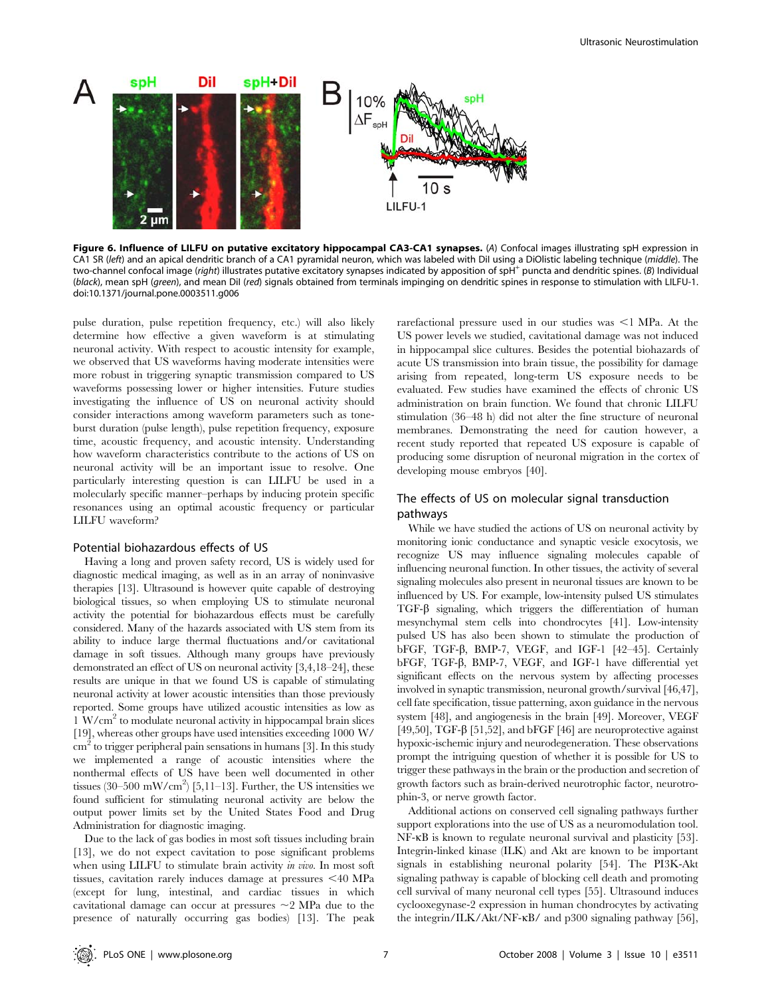

Figure 6. Influence of LILFU on putative excitatory hippocampal CA3-CA1 synapses. (A) Confocal images illustrating spH expression in CA1 SR (left) and an apical dendritic branch of a CA1 pyramidal neuron, which was labeled with Dil using a DiOlistic labeling technique (middle). The two-channel confocal image (right) illustrates putative excitatory synapses indicated by apposition of spH<sup>+</sup> puncta and dendritic spines. (B) Individual (black), mean spH (green), and mean Dil (red) signals obtained from terminals impinging on dendritic spines in response to stimulation with LILFU-1. doi:10.1371/journal.pone.0003511.g006

pulse duration, pulse repetition frequency, etc.) will also likely determine how effective a given waveform is at stimulating neuronal activity. With respect to acoustic intensity for example, we observed that US waveforms having moderate intensities were more robust in triggering synaptic transmission compared to US waveforms possessing lower or higher intensities. Future studies investigating the influence of US on neuronal activity should consider interactions among waveform parameters such as toneburst duration (pulse length), pulse repetition frequency, exposure time, acoustic frequency, and acoustic intensity. Understanding how waveform characteristics contribute to the actions of US on neuronal activity will be an important issue to resolve. One particularly interesting question is can LILFU be used in a molecularly specific manner–perhaps by inducing protein specific resonances using an optimal acoustic frequency or particular LILFU waveform?

#### Potential biohazardous effects of US

Having a long and proven safety record, US is widely used for diagnostic medical imaging, as well as in an array of noninvasive therapies [13]. Ultrasound is however quite capable of destroying biological tissues, so when employing US to stimulate neuronal activity the potential for biohazardous effects must be carefully considered. Many of the hazards associated with US stem from its ability to induce large thermal fluctuations and/or cavitational damage in soft tissues. Although many groups have previously demonstrated an effect of US on neuronal activity [3,4,18–24], these results are unique in that we found US is capable of stimulating neuronal activity at lower acoustic intensities than those previously reported. Some groups have utilized acoustic intensities as low as 1 W/cm2 to modulate neuronal activity in hippocampal brain slices [19], whereas other groups have used intensities exceeding 1000 W/  $\text{cm}^2$  to trigger peripheral pain sensations in humans [3]. In this study we implemented a range of acoustic intensities where the nonthermal effects of US have been well documented in other tissues (30–500 mW/cm<sup>2</sup>) [5,11–13]. Further, the US intensities we found sufficient for stimulating neuronal activity are below the output power limits set by the United States Food and Drug Administration for diagnostic imaging.

Due to the lack of gas bodies in most soft tissues including brain [13], we do not expect cavitation to pose significant problems when using LILFU to stimulate brain activity *in vivo*. In most soft tissues, cavitation rarely induces damage at pressures  $\leq 40$  MPa (except for lung, intestinal, and cardiac tissues in which cavitational damage can occur at pressures  $\sim$ 2 MPa due to the presence of naturally occurring gas bodies) [13]. The peak rarefactional pressure used in our studies was  $\leq$ 1 MPa. At the US power levels we studied, cavitational damage was not induced in hippocampal slice cultures. Besides the potential biohazards of acute US transmission into brain tissue, the possibility for damage arising from repeated, long-term US exposure needs to be evaluated. Few studies have examined the effects of chronic US administration on brain function. We found that chronic LILFU stimulation (36–48 h) did not alter the fine structure of neuronal membranes. Demonstrating the need for caution however, a recent study reported that repeated US exposure is capable of producing some disruption of neuronal migration in the cortex of developing mouse embryos [40].

### The effects of US on molecular signal transduction pathways

While we have studied the actions of US on neuronal activity by monitoring ionic conductance and synaptic vesicle exocytosis, we recognize US may influence signaling molecules capable of influencing neuronal function. In other tissues, the activity of several signaling molecules also present in neuronal tissues are known to be influenced by US. For example, low-intensity pulsed US stimulates TGF- $\beta$  signaling, which triggers the differentiation of human mesynchymal stem cells into chondrocytes [41]. Low-intensity pulsed US has also been shown to stimulate the production of bFGF, TGF- $\beta$ , BMP-7, VEGF, and IGF-1 [42-45]. Certainly bFGF, TGF- $\beta$ , BMP-7, VEGF, and IGF-1 have differential yet significant effects on the nervous system by affecting processes involved in synaptic transmission, neuronal growth/survival [46,47], cell fate specification, tissue patterning, axon guidance in the nervous system [48], and angiogenesis in the brain [49]. Moreover, VEGF [49,50], TGF- $\beta$  [51,52], and bFGF [46] are neuroprotective against hypoxic-ischemic injury and neurodegeneration. These observations prompt the intriguing question of whether it is possible for US to trigger these pathways in the brain or the production and secretion of growth factors such as brain-derived neurotrophic factor, neurotrophin-3, or nerve growth factor.

Additional actions on conserved cell signaling pathways further support explorations into the use of US as a neuromodulation tool. NF- $\kappa$ B is known to regulate neuronal survival and plasticity [53]. Integrin-linked kinase (ILK) and Akt are known to be important signals in establishing neuronal polarity [54]. The PI3K-Akt signaling pathway is capable of blocking cell death and promoting cell survival of many neuronal cell types [55]. Ultrasound induces cyclooxegynase-2 expression in human chondrocytes by activating the integrin/ILK/Akt/NF- $\kappa$ B/ and p300 signaling pathway [56],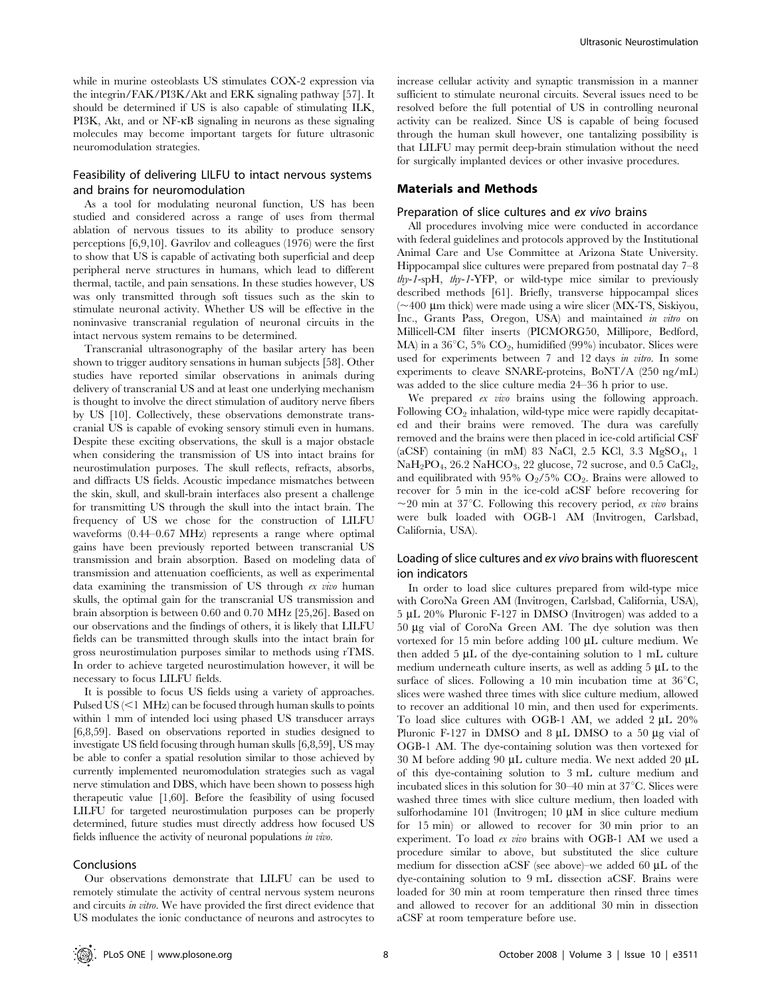while in murine osteoblasts US stimulates COX-2 expression via the integrin/FAK/PI3K/Akt and ERK signaling pathway [57]. It should be determined if US is also capable of stimulating ILK, PI3K, Akt, and or NF-kB signaling in neurons as these signaling molecules may become important targets for future ultrasonic neuromodulation strategies.

### Feasibility of delivering LILFU to intact nervous systems and brains for neuromodulation

As a tool for modulating neuronal function, US has been studied and considered across a range of uses from thermal ablation of nervous tissues to its ability to produce sensory perceptions [6,9,10]. Gavrilov and colleagues (1976) were the first to show that US is capable of activating both superficial and deep peripheral nerve structures in humans, which lead to different thermal, tactile, and pain sensations. In these studies however, US was only transmitted through soft tissues such as the skin to stimulate neuronal activity. Whether US will be effective in the noninvasive transcranial regulation of neuronal circuits in the intact nervous system remains to be determined.

Transcranial ultrasonography of the basilar artery has been shown to trigger auditory sensations in human subjects [58]. Other studies have reported similar observations in animals during delivery of transcranial US and at least one underlying mechanism is thought to involve the direct stimulation of auditory nerve fibers by US [10]. Collectively, these observations demonstrate transcranial US is capable of evoking sensory stimuli even in humans. Despite these exciting observations, the skull is a major obstacle when considering the transmission of US into intact brains for neurostimulation purposes. The skull reflects, refracts, absorbs, and diffracts US fields. Acoustic impedance mismatches between the skin, skull, and skull-brain interfaces also present a challenge for transmitting US through the skull into the intact brain. The frequency of US we chose for the construction of LILFU waveforms (0.44–0.67 MHz) represents a range where optimal gains have been previously reported between transcranial US transmission and brain absorption. Based on modeling data of transmission and attenuation coefficients, as well as experimental data examining the transmission of US through ex vivo human skulls, the optimal gain for the transcranial US transmission and brain absorption is between 0.60 and 0.70 MHz [25,26]. Based on our observations and the findings of others, it is likely that LILFU fields can be transmitted through skulls into the intact brain for gross neurostimulation purposes similar to methods using rTMS. In order to achieve targeted neurostimulation however, it will be necessary to focus LILFU fields.

It is possible to focus US fields using a variety of approaches. Pulsed US  $\leq$  1 MHz) can be focused through human skulls to points within 1 mm of intended loci using phased US transducer arrays [6,8,59]. Based on observations reported in studies designed to investigate US field focusing through human skulls [6,8,59], US may be able to confer a spatial resolution similar to those achieved by currently implemented neuromodulation strategies such as vagal nerve stimulation and DBS, which have been shown to possess high therapeutic value [1,60]. Before the feasibility of using focused LILFU for targeted neurostimulation purposes can be properly determined, future studies must directly address how focused US fields influence the activity of neuronal populations in vivo.

# Conclusions

Our observations demonstrate that LILFU can be used to remotely stimulate the activity of central nervous system neurons and circuits in vitro. We have provided the first direct evidence that US modulates the ionic conductance of neurons and astrocytes to

increase cellular activity and synaptic transmission in a manner sufficient to stimulate neuronal circuits. Several issues need to be resolved before the full potential of US in controlling neuronal activity can be realized. Since US is capable of being focused through the human skull however, one tantalizing possibility is that LILFU may permit deep-brain stimulation without the need for surgically implanted devices or other invasive procedures.

#### Materials and Methods

### Preparation of slice cultures and ex vivo brains

All procedures involving mice were conducted in accordance with federal guidelines and protocols approved by the Institutional Animal Care and Use Committee at Arizona State University. Hippocampal slice cultures were prepared from postnatal day 7–8 thy-1-spH, thy-1-YFP, or wild-type mice similar to previously described methods [61]. Briefly, transverse hippocampal slices  $\sim$ 400 µm thick) were made using a wire slicer (MX-TS, Siskiyou, Inc., Grants Pass, Oregon, USA) and maintained in vitro on Millicell-CM filter inserts (PICMORG50, Millipore, Bedford, MA) in a  $36^{\circ}$ C,  $5\%$  CO<sub>2</sub>, humidified (99%) incubator. Slices were used for experiments between 7 and 12 days in vitro. In some experiments to cleave SNARE-proteins, BoNT/A (250 ng/mL) was added to the slice culture media 24–36 h prior to use.

We prepared *ex vivo* brains using the following approach. Following  $CO<sub>2</sub>$  inhalation, wild-type mice were rapidly decapitated and their brains were removed. The dura was carefully removed and the brains were then placed in ice-cold artificial CSF (aCSF) containing (in mM) 83 NaCl, 2.5 KCl, 3.3 MgSO4, 1  $NaH<sub>2</sub>PO<sub>4</sub>$ , 26.2 NaHCO<sub>3</sub>, 22 glucose, 72 sucrose, and 0.5 CaCl<sub>2</sub>, and equilibrated with 95%  $O<sub>2</sub>/5%$   $CO<sub>2</sub>$ . Brains were allowed to recover for 5 min in the ice-cold aCSF before recovering for  $\sim$ 20 min at 37°C. Following this recovery period, ex vivo brains were bulk loaded with OGB-1 AM (Invitrogen, Carlsbad, California, USA).

### Loading of slice cultures and ex vivo brains with fluorescent ion indicators

In order to load slice cultures prepared from wild-type mice with CoroNa Green AM (Invitrogen, Carlsbad, California, USA),  $5 \mu L$  20% Pluronic F-127 in DMSO (Invitrogen) was added to a 50 mg vial of CoroNa Green AM. The dye solution was then vortexed for 15 min before adding 100  $\mu$ L culture medium. We then added  $5 \mu L$  of the dye-containing solution to 1 mL culture medium underneath culture inserts, as well as adding  $5 \mu L$  to the surface of slices. Following a 10 min incubation time at  $36^{\circ}$ C, slices were washed three times with slice culture medium, allowed to recover an additional 10 min, and then used for experiments. To load slice cultures with OGB-1 AM, we added  $2 \mu L$   $20\%$ Pluronic F-127 in DMSO and  $8 \mu L$  DMSO to a 50  $\mu$ g vial of OGB-1 AM. The dye-containing solution was then vortexed for 30 M before adding 90  $\mu$ L culture media. We next added 20  $\mu$ L of this dye-containing solution to 3 mL culture medium and incubated slices in this solution for  $30-40$  min at  $37^{\circ}$ C. Slices were washed three times with slice culture medium, then loaded with sulforhodamine  $101$  (Invitrogen;  $10 \mu M$  in slice culture medium for 15 min) or allowed to recover for 30 min prior to an experiment. To load ex vivo brains with OGB-1 AM we used a procedure similar to above, but substituted the slice culture medium for dissection aCSF (see above)–we added 60  $\mu$ L of the dye-containing solution to 9 mL dissection aCSF. Brains were loaded for 30 min at room temperature then rinsed three times and allowed to recover for an additional 30 min in dissection aCSF at room temperature before use.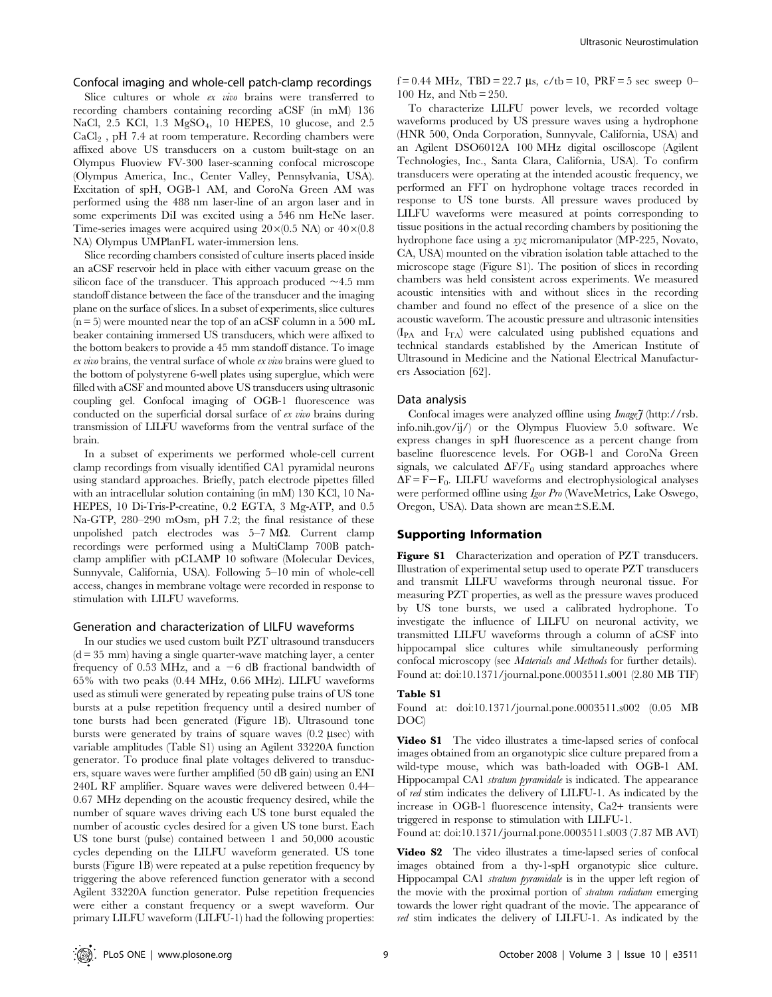Confocal imaging and whole-cell patch-clamp recordings

Slice cultures or whole ex vivo brains were transferred to recording chambers containing recording aCSF (in mM) 136 NaCl, 2.5 KCl, 1.3 MgSO4, 10 HEPES, 10 glucose, and 2.5  $CaCl<sub>2</sub>$ , pH 7.4 at room temperature. Recording chambers were affixed above US transducers on a custom built-stage on an Olympus Fluoview FV-300 laser-scanning confocal microscope (Olympus America, Inc., Center Valley, Pennsylvania, USA). Excitation of spH, OGB-1 AM, and CoroNa Green AM was performed using the 488 nm laser-line of an argon laser and in some experiments DiI was excited using a 546 nm HeNe laser. Time-series images were acquired using  $20\times(0.5 \text{ NA})$  or  $40\times(0.8 \text{ A})$ NA) Olympus UMPlanFL water-immersion lens.

Slice recording chambers consisted of culture inserts placed inside an aCSF reservoir held in place with either vacuum grease on the silicon face of the transducer. This approach produced  $\sim$ 4.5 mm standoff distance between the face of the transducer and the imaging plane on the surface of slices. In a subset of experiments, slice cultures  $(n=5)$  were mounted near the top of an aCSF column in a 500 mL beaker containing immersed US transducers, which were affixed to the bottom beakers to provide a 45 mm standoff distance. To image ex vivo brains, the ventral surface of whole ex vivo brains were glued to the bottom of polystyrene 6-well plates using superglue, which were filled with aCSF and mounted above US transducers using ultrasonic coupling gel. Confocal imaging of OGB-1 fluorescence was conducted on the superficial dorsal surface of ex vivo brains during transmission of LILFU waveforms from the ventral surface of the brain.

In a subset of experiments we performed whole-cell current clamp recordings from visually identified CA1 pyramidal neurons using standard approaches. Briefly, patch electrode pipettes filled with an intracellular solution containing (in mM) 130 KCl, 10 Na-HEPES, 10 Di-Tris-P-creatine, 0.2 EGTA, 3 Mg-ATP, and 0.5 Na-GTP, 280–290 mOsm, pH 7.2; the final resistance of these unpolished patch electrodes was  $5-7$  M $\Omega$ . Current clamp recordings were performed using a MultiClamp 700B patchclamp amplifier with pCLAMP 10 software (Molecular Devices, Sunnyvale, California, USA). Following 5–10 min of whole-cell access, changes in membrane voltage were recorded in response to stimulation with LILFU waveforms.

#### Generation and characterization of LILFU waveforms

In our studies we used custom built PZT ultrasound transducers  $(d = 35$  mm) having a single quarter-wave matching layer, a center frequency of 0.53 MHz, and a  $-6$  dB fractional bandwidth of 65% with two peaks (0.44 MHz, 0.66 MHz). LILFU waveforms used as stimuli were generated by repeating pulse trains of US tone bursts at a pulse repetition frequency until a desired number of tone bursts had been generated (Figure 1B). Ultrasound tone bursts were generated by trains of square waves  $(0.2 \text{ }\mu\text{sec})$  with variable amplitudes (Table S1) using an Agilent 33220A function generator. To produce final plate voltages delivered to transducers, square waves were further amplified (50 dB gain) using an ENI 240L RF amplifier. Square waves were delivered between 0.44– 0.67 MHz depending on the acoustic frequency desired, while the number of square waves driving each US tone burst equaled the number of acoustic cycles desired for a given US tone burst. Each US tone burst (pulse) contained between 1 and 50,000 acoustic cycles depending on the LILFU waveform generated. US tone bursts (Figure 1B) were repeated at a pulse repetition frequency by triggering the above referenced function generator with a second Agilent 33220A function generator. Pulse repetition frequencies were either a constant frequency or a swept waveform. Our primary LILFU waveform (LILFU-1) had the following properties:

f = 0.44 MHz, TBD = 22.7  $\mu$ s, c/tb = 10, PRF = 5 sec sweep 0– 100 Hz, and Ntb = 250.

To characterize LILFU power levels, we recorded voltage waveforms produced by US pressure waves using a hydrophone (HNR 500, Onda Corporation, Sunnyvale, California, USA) and an Agilent DSO6012A 100 MHz digital oscilloscope (Agilent Technologies, Inc., Santa Clara, California, USA). To confirm transducers were operating at the intended acoustic frequency, we performed an FFT on hydrophone voltage traces recorded in response to US tone bursts. All pressure waves produced by LILFU waveforms were measured at points corresponding to tissue positions in the actual recording chambers by positioning the hydrophone face using a xyz micromanipulator (MP-225, Novato, CA, USA) mounted on the vibration isolation table attached to the microscope stage (Figure S1). The position of slices in recording chambers was held consistent across experiments. We measured acoustic intensities with and without slices in the recording chamber and found no effect of the presence of a slice on the acoustic waveform. The acoustic pressure and ultrasonic intensities  $(I_{PA}$  and  $I_{TA}$ ) were calculated using published equations and technical standards established by the American Institute of Ultrasound in Medicine and the National Electrical Manufacturers Association [62].

#### Data analysis

Confocal images were analyzed offline using  $Image\bar{f}$  (http://rsb. info.nih.gov/ij/) or the Olympus Fluoview 5.0 software. We express changes in spH fluorescence as a percent change from baseline fluorescence levels. For OGB-1 and CoroNa Green signals, we calculated  $\Delta F/F_0$  using standard approaches where  $\Delta F = F - F_0$ . LILFU waveforms and electrophysiological analyses were performed offline using Igor Pro (WaveMetrics, Lake Oswego, Oregon, USA). Data shown are mean $\pm$ S.E.M.

### Supporting Information

Figure S1 Characterization and operation of PZT transducers. Illustration of experimental setup used to operate PZT transducers and transmit LILFU waveforms through neuronal tissue. For measuring PZT properties, as well as the pressure waves produced by US tone bursts, we used a calibrated hydrophone. To investigate the influence of LILFU on neuronal activity, we transmitted LILFU waveforms through a column of aCSF into hippocampal slice cultures while simultaneously performing confocal microscopy (see Materials and Methods for further details). Found at: doi:10.1371/journal.pone.0003511.s001 (2.80 MB TIF)

#### Table S1

Found at: doi:10.1371/journal.pone.0003511.s002 (0.05 MB DOC)

Video S1 The video illustrates a time-lapsed series of confocal images obtained from an organotypic slice culture prepared from a wild-type mouse, which was bath-loaded with OGB-1 AM. Hippocampal CA1 stratum pyramidale is indicated. The appearance of red stim indicates the delivery of LILFU-1. As indicated by the increase in OGB-1 fluorescence intensity, Ca2+ transients were triggered in response to stimulation with LILFU-1.

Found at: doi:10.1371/journal.pone.0003511.s003 (7.87 MB AVI)

Video S2 The video illustrates a time-lapsed series of confocal images obtained from a thy-1-spH organotypic slice culture. Hippocampal CA1 stratum pyramidale is in the upper left region of the movie with the proximal portion of stratum radiatum emerging towards the lower right quadrant of the movie. The appearance of red stim indicates the delivery of LILFU-1. As indicated by the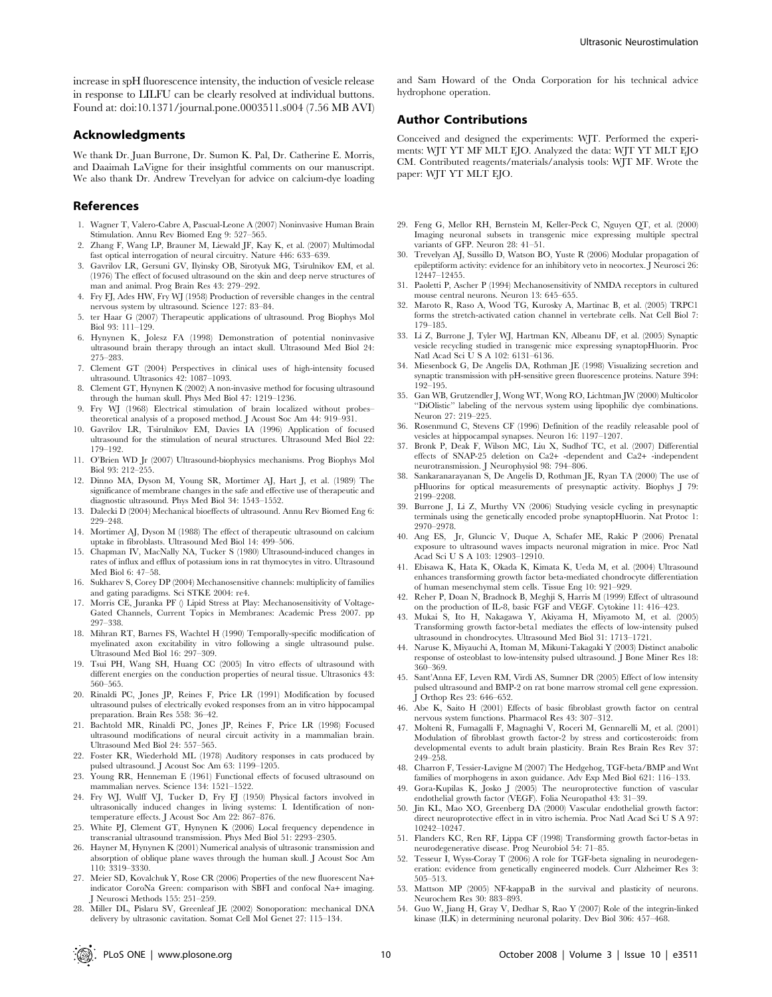increase in spH fluorescence intensity, the induction of vesicle release in response to LILFU can be clearly resolved at individual buttons. Found at: doi:10.1371/journal.pone.0003511.s004 (7.56 MB AVI)

### Acknowledgments

We thank Dr. Juan Burrone, Dr. Sumon K. Pal, Dr. Catherine E. Morris, and Daaimah LaVigne for their insightful comments on our manuscript. We also thank Dr. Andrew Trevelyan for advice on calcium-dye loading

#### References

- 1. Wagner T, Valero-Cabre A, Pascual-Leone A (2007) Noninvasive Human Brain Stimulation. Annu Rev Biomed Eng 9: 527–565.
- 2. Zhang F, Wang LP, Brauner M, Liewald JF, Kay K, et al. (2007) Multimodal fast optical interrogation of neural circuitry. Nature 446: 633–639.
- 3. Gavrilov LR, Gersuni GV, Ilyinsky OB, Sirotyuk MG, Tsirulnikov EM, et al. (1976) The effect of focused ultrasound on the skin and deep nerve structures of man and animal. Prog Brain Res 43: 279–292.
- 4. Fry FJ, Ades HW, Fry WJ (1958) Production of reversible changes in the central nervous system by ultrasound. Science 127: 83–84.
- 5. ter Haar G (2007) Therapeutic applications of ultrasound. Prog Biophys Mol Biol 93: 111–129.
- 6. Hynynen K, Jolesz FA (1998) Demonstration of potential noninvasive ultrasound brain therapy through an intact skull. Ultrasound Med Biol 24: 275–283.
- 7. Clement GT (2004) Perspectives in clinical uses of high-intensity focused ultrasound. Ultrasonics 42: 1087–1093.
- 8. Clement GT, Hynynen K (2002) A non-invasive method for focusing ultrasound through the human skull. Phys Med Biol 47: 1219–1236.
- 9. Fry WJ (1968) Electrical stimulation of brain localized without probes– theoretical analysis of a proposed method. J Acoust Soc Am 44: 919–931.
- 10. Gavrilov LR, Tsirulnikov EM, Davies IA (1996) Application of focused ultrasound for the stimulation of neural structures. Ultrasound Med Biol 22: 179–192.
- 11. O'Brien WD Jr (2007) Ultrasound-biophysics mechanisms. Prog Biophys Mol Biol 93: 212–255.
- 12. Dinno MA, Dyson M, Young SR, Mortimer AJ, Hart J, et al. (1989) The significance of membrane changes in the safe and effective use of therapeutic and diagnostic ultrasound. Phys Med Biol 34: 1543–1552.
- 13. Dalecki D (2004) Mechanical bioeffects of ultrasound. Annu Rev Biomed Eng 6: 229–248.
- 14. Mortimer AJ, Dyson M (1988) The effect of therapeutic ultrasound on calcium uptake in fibroblasts. Ultrasound Med Biol 14: 499–506.
- 15. Chapman IV, MacNally NA, Tucker S (1980) Ultrasound-induced changes in rates of influx and efflux of potassium ions in rat thymocytes in vitro. Ultrasound Med Biol 6: 47–58.
- 16. Sukharev S, Corey DP (2004) Mechanosensitive channels: multiplicity of families and gating paradigms. Sci STKE 2004: re4.
- 17. Morris CE, Juranka PF () Lipid Stress at Play: Mechanosensitivity of Voltage-Gated Channels, Current Topics in Membranes: Academic Press 2007. pp 297–338.
- 18. Mihran RT, Barnes FS, Wachtel H (1990) Temporally-specific modification of myelinated axon excitability in vitro following a single ultrasound pulse. Ultrasound Med Biol 16: 297–309.
- 19. Tsui PH, Wang SH, Huang CC (2005) In vitro effects of ultrasound with different energies on the conduction properties of neural tissue. Ultrasonics 43: 560–565.
- 20. Rinaldi PC, Jones JP, Reines F, Price LR (1991) Modification by focused ultrasound pulses of electrically evoked responses from an in vitro hippocampal preparation. Brain Res 558: 36–42.
- 21. Bachtold MR, Rinaldi PC, Jones JP, Reines F, Price LR (1998) Focused ultrasound modifications of neural circuit activity in a mammalian brain. Ultrasound Med Biol 24: 557–565.
- 22. Foster KR, Wiederhold ML (1978) Auditory responses in cats produced by pulsed ultrasound. J Acoust Soc Am 63: 1199–1205.
- 23. Young RR, Henneman E (1961) Functional effects of focused ultrasound on mammalian nerves. Science 134: 1521–1522.
- 24. Fry WJ, Wulff VJ, Tucker D, Fry FJ (1950) Physical factors involved in ultrasonically induced changes in living systems: I. Identification of nontemperature effects. J Acoust Soc Am 22: 867–876.
- 25. White PJ, Clement GT, Hynynen K (2006) Local frequency dependence in transcranial ultrasound transmission. Phys Med Biol 51: 2293–2305.
- 26. Hayner M, Hynynen K (2001) Numerical analysis of ultrasonic transmission and absorption of oblique plane waves through the human skull. J Acoust Soc Am 110: 3319–3330.
- 27. Meier SD, Kovalchuk Y, Rose CR (2006) Properties of the new fluorescent Na+ indicator CoroNa Green: comparison with SBFI and confocal Na+ imaging. J Neurosci Methods 155: 251–259.
- 28. Miller DL, Pislaru SV, Greenleaf JE (2002) Sonoporation: mechanical DNA delivery by ultrasonic cavitation. Somat Cell Mol Genet 27: 115–134.

and Sam Howard of the Onda Corporation for his technical advice hydrophone operation.

#### Author Contributions

Conceived and designed the experiments: WJT. Performed the experiments: WJT YT MF MLT EJO. Analyzed the data: WJT YT MLT EJO CM. Contributed reagents/materials/analysis tools: WJT MF. Wrote the paper: WJT YT MLT EJO.

- 29. Feng G, Mellor RH, Bernstein M, Keller-Peck C, Nguyen QT, et al. (2000) Imaging neuronal subsets in transgenic mice expressing multiple spectral variants of GFP. Neuron 28: 41–51.
- 30. Trevelyan AJ, Sussillo D, Watson BO, Yuste R (2006) Modular propagation of epileptiform activity: evidence for an inhibitory veto in neocortex. J Neurosci 26: 12447–12455.
- 31. Paoletti P, Ascher P (1994) Mechanosensitivity of NMDA receptors in cultured mouse central neurons. Neuron 13: 645–655.
- 32. Maroto R, Raso A, Wood TG, Kurosky A, Martinac B, et al. (2005) TRPC1 forms the stretch-activated cation channel in vertebrate cells. Nat Cell Biol 7: 179–185.
- 33. Li Z, Burrone J, Tyler WJ, Hartman KN, Albeanu DF, et al. (2005) Synaptic vesicle recycling studied in transgenic mice expressing synaptopHluorin. Proc Natl Acad Sci U S A 102: 6131-6136.
- 34. Miesenbock G, De Angelis DA, Rothman JE (1998) Visualizing secretion and synaptic transmission with pH-sensitive green fluorescence proteins. Nature 394: 192–195.
- 35. Gan WB, Grutzendler J, Wong WT, Wong RO, Lichtman JW (2000) Multicolor ''DiOlistic'' labeling of the nervous system using lipophilic dye combinations. Neuron 27: 219–225.
- 36. Rosenmund C, Stevens CF (1996) Definition of the readily releasable pool of vesicles at hippocampal synapses. Neuron 16: 1197–1207.
- 37. Bronk P, Deak F, Wilson MC, Liu X, Sudhof TC, et al. (2007) Differential effects of SNAP-25 deletion on Ca2+ -dependent and Ca2+ -independent neurotransmission. J Neurophysiol 98: 794–806.
- 38. Sankaranarayanan S, De Angelis D, Rothman JE, Ryan TA (2000) The use of pHluorins for optical measurements of presynaptic activity. Biophys J 79: 2199–2208.
- 39. Burrone J, Li Z, Murthy VN (2006) Studying vesicle cycling in presynaptic terminals using the genetically encoded probe synaptopHluorin. Nat Protoc 1: 2970–2978.
- 40. Ang ES, Jr, Gluncic V, Duque A, Schafer ME, Rakic P (2006) Prenatal exposure to ultrasound waves impacts neuronal migration in mice. Proc Natl Acad Sci U S A 103: 12903–12910.
- 41. Ebisawa K, Hata K, Okada K, Kimata K, Ueda M, et al. (2004) Ultrasound enhances transforming growth factor beta-mediated chondrocyte differentiation of human mesenchymal stem cells. Tissue Eng 10: 921–929.
- 42. Reher P, Doan N, Bradnock B, Meghji S, Harris M (1999) Effect of ultrasound on the production of IL-8, basic FGF and VEGF. Cytokine 11: 416–423.
- 43. Mukai S, Ito H, Nakagawa Y, Akiyama H, Miyamoto M, et al. (2005) Transforming growth factor-beta1 mediates the effects of low-intensity pulsed ultrasound in chondrocytes. Ultrasound Med Biol 31: 1713–1721.
- 44. Naruse K, Miyauchi A, Itoman M, Mikuni-Takagaki Y (2003) Distinct anabolic response of osteoblast to low-intensity pulsed ultrasound. J Bone Miner Res 18: 360–369.
- 45. Sant'Anna EF, Leven RM, Virdi AS, Sumner DR (2005) Effect of low intensity pulsed ultrasound and BMP-2 on rat bone marrow stromal cell gene expression. Orthop Res 23: 646-652.
- 46. Abe K, Saito H (2001) Effects of basic fibroblast growth factor on central nervous system functions. Pharmacol Res 43: 307–312.
- 47. Molteni R, Fumagalli F, Magnaghi V, Roceri M, Gennarelli M, et al. (2001) Modulation of fibroblast growth factor-2 by stress and corticosteroids: from developmental events to adult brain plasticity. Brain Res Brain Res Rev 37: 249–258.
- 48. Charron F, Tessier-Lavigne M (2007) The Hedgehog, TGF-beta/BMP and Wnt families of morphogens in axon guidance. Adv Exp Med Biol 621: 116–133.
- 49. Gora-Kupilas K, Josko J (2005) The neuroprotective function of vascular endothelial growth factor (VEGF). Folia Neuropathol 43: 31–39.
- 50. Jin KL, Mao XO, Greenberg DA (2000) Vascular endothelial growth factor: direct neuroprotective effect in in vitro ischemia. Proc Natl Acad Sci U S A 97: 10242–10247.
- 51. Flanders KC, Ren RF, Lippa CF (1998) Transforming growth factor-betas in neurodegenerative disease. Prog Neurobiol 54: 71–85.
- 52. Tesseur I, Wyss-Coray T (2006) A role for TGF-beta signaling in neurodegeneration: evidence from genetically engineered models. Curr Alzheimer Res 3: 505–513.
- 53. Mattson MP (2005) NF-kappaB in the survival and plasticity of neurons. Neurochem Res 30: 883–893.
- 54. Guo W, Jiang H, Gray V, Dedhar S, Rao Y (2007) Role of the integrin-linked kinase (ILK) in determining neuronal polarity. Dev Biol 306: 457–468.